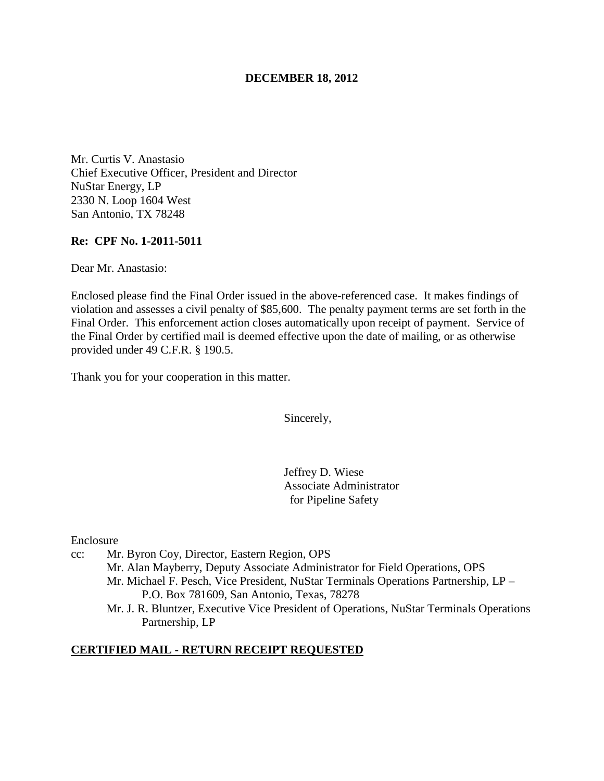### **DECEMBER 18, 2012**

Mr. Curtis V. Anastasio Chief Executive Officer, President and Director NuStar Energy, LP 2330 N. Loop 1604 West San Antonio, TX 78248

### **Re: CPF No. 1-2011-5011**

Dear Mr. Anastasio:

Enclosed please find the Final Order issued in the above-referenced case. It makes findings of violation and assesses a civil penalty of \$85,600. The penalty payment terms are set forth in the Final Order. This enforcement action closes automatically upon receipt of payment. Service of the Final Order by certified mail is deemed effective upon the date of mailing, or as otherwise provided under 49 C.F.R. § 190.5.

Thank you for your cooperation in this matter.

Sincerely,

Jeffrey D. Wiese Associate Administrator for Pipeline Safety

Enclosure

- cc: Mr. Byron Coy, Director, Eastern Region, OPS Mr. Alan Mayberry, Deputy Associate Administrator for Field Operations, OPS Mr. Michael F. Pesch, Vice President, NuStar Terminals Operations Partnership, LP – P.O. Box 781609, San Antonio, Texas, 78278
	- Mr. J. R. Bluntzer, Executive Vice President of Operations, NuStar Terminals Operations Partnership, LP

### **CERTIFIED MAIL - RETURN RECEIPT REQUESTED**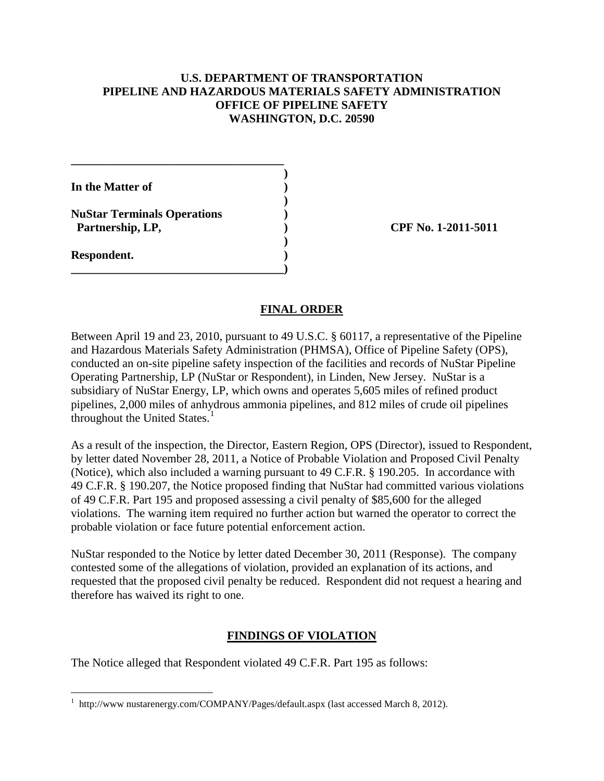## **U.S. DEPARTMENT OF TRANSPORTATION PIPELINE AND HAZARDOUS MATERIALS SAFETY ADMINISTRATION OFFICE OF PIPELINE SAFETY WASHINGTON, D.C. 20590**

| In the Matter of                                       |  |
|--------------------------------------------------------|--|
| <b>NuStar Terminals Operations</b><br>Partnership, LP, |  |

**Respondent. )** 

 $\overline{a}$ 

**\_\_\_\_\_\_\_\_\_\_\_\_\_\_\_\_\_\_\_\_\_\_\_\_\_\_\_\_\_\_\_\_\_\_\_\_** 

**\_\_\_\_\_\_\_\_\_\_\_\_\_\_\_\_\_\_\_\_\_\_\_\_\_\_\_\_\_\_\_\_\_\_\_\_)** 

**CPF No. 1-2011-5011** 

### **FINAL ORDER**

Between April 19 and 23, 2010, pursuant to 49 U.S.C. § 60117, a representative of the Pipeline and Hazardous Materials Safety Administration (PHMSA), Office of Pipeline Safety (OPS), conducted an on-site pipeline safety inspection of the facilities and records of NuStar Pipeline Operating Partnership, LP (NuStar or Respondent), in Linden, New Jersey. NuStar is a subsidiary of NuStar Energy, LP, which owns and operates 5,605 miles of refined product pipelines, 2,000 miles of anhydrous ammonia pipelines, and 812 miles of crude oil pipelines throughout the United States.<sup>1</sup>

As a result of the inspection, the Director, Eastern Region, OPS (Director), issued to Respondent, by letter dated November 28, 2011, a Notice of Probable Violation and Proposed Civil Penalty (Notice), which also included a warning pursuant to 49 C.F.R. § 190.205. In accordance with 49 C.F.R. § 190.207, the Notice proposed finding that NuStar had committed various violations of 49 C.F.R. Part 195 and proposed assessing a civil penalty of \$85,600 for the alleged violations. The warning item required no further action but warned the operator to correct the probable violation or face future potential enforcement action.

NuStar responded to the Notice by letter dated December 30, 2011 (Response). The company contested some of the allegations of violation, provided an explanation of its actions, and requested that the proposed civil penalty be reduced. Respondent did not request a hearing and therefore has waived its right to one.

# **FINDINGS OF VIOLATION**

The Notice alleged that Respondent violated 49 C.F.R. Part 195 as follows:

<sup>1</sup> http://www nustarenergy.com/COMPANY/Pages/default.aspx (last accessed March 8, 2012).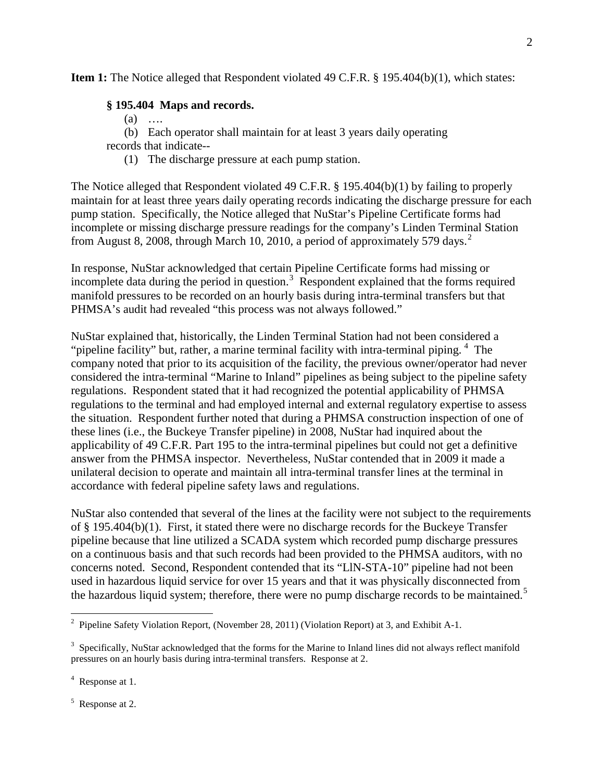**Item 1:** The Notice alleged that Respondent violated 49 C.F.R. § 195.404(b)(1), which states:

### **§ 195.404 Maps and records.**

- (a) ….
- (b) Each operator shall maintain for at least 3 years daily operating

records that indicate--

(1) The discharge pressure at each pump station.

The Notice alleged that Respondent violated 49 C.F.R. § 195.404(b)(1) by failing to properly maintain for at least three years daily operating records indicating the discharge pressure for each pump station. Specifically, the Notice alleged that NuStar's Pipeline Certificate forms had incomplete or missing discharge pressure readings for the company's Linden Terminal Station from August 8, 2008, through March 10, 2010, a period of approximately 579 days.<sup>2</sup>

In response, NuStar acknowledged that certain Pipeline Certificate forms had missing or incomplete data during the period in question.<sup>3</sup> Respondent explained that the forms required manifold pressures to be recorded on an hourly basis during intra-terminal transfers but that PHMSA's audit had revealed "this process was not always followed."

NuStar explained that, historically, the Linden Terminal Station had not been considered a "pipeline facility" but, rather, a marine terminal facility with intra-terminal piping.<sup>4</sup> The company noted that prior to its acquisition of the facility, the previous owner/operator had never considered the intra-terminal "Marine to Inland" pipelines as being subject to the pipeline safety regulations. Respondent stated that it had recognized the potential applicability of PHMSA regulations to the terminal and had employed internal and external regulatory expertise to assess the situation. Respondent further noted that during a PHMSA construction inspection of one of these lines (i.e., the Buckeye Transfer pipeline) in 2008, NuStar had inquired about the applicability of 49 C.F.R. Part 195 to the intra-terminal pipelines but could not get a definitive answer from the PHMSA inspector. Nevertheless, NuStar contended that in 2009 it made a unilateral decision to operate and maintain all intra-terminal transfer lines at the terminal in accordance with federal pipeline safety laws and regulations.

NuStar also contended that several of the lines at the facility were not subject to the requirements of § 195.404(b)(1). First, it stated there were no discharge records for the Buckeye Transfer pipeline because that line utilized a SCADA system which recorded pump discharge pressures on a continuous basis and that such records had been provided to the PHMSA auditors, with no concerns noted. Second, Respondent contended that its "LlN-STA-10" pipeline had not been used in hazardous liquid service for over 15 years and that it was physically disconnected from the hazardous liquid system; therefore, there were no pump discharge records to be maintained.<sup>5</sup>

<sup>5</sup> Response at 2.

<sup>&</sup>lt;sup>2</sup> Pipeline Safety Violation Report, (November 28, 2011) (Violation Report) at 3, and Exhibit A-1.

<sup>&</sup>lt;sup>3</sup> Specifically, NuStar acknowledged that the forms for the Marine to Inland lines did not always reflect manifold pressures on an hourly basis during intra-terminal transfers. Response at 2.

<sup>&</sup>lt;sup>4</sup> Response at 1.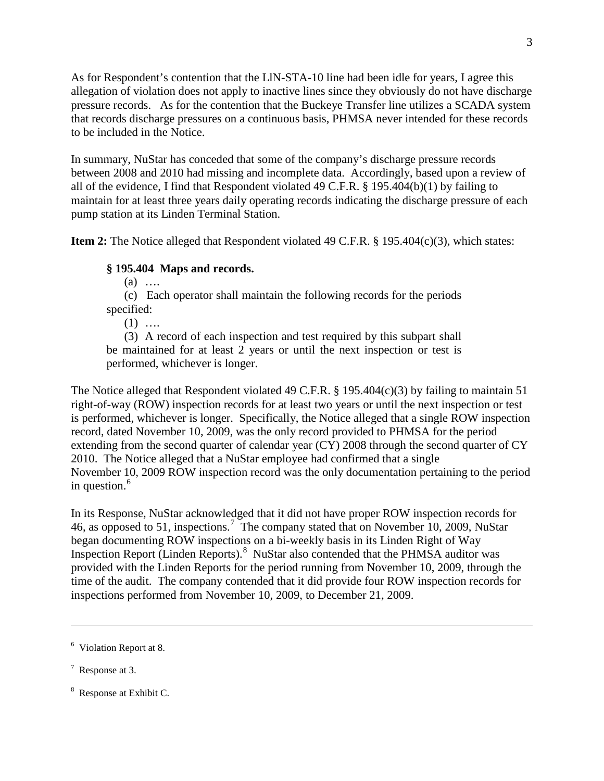As for Respondent's contention that the LlN-STA-10 line had been idle for years, I agree this allegation of violation does not apply to inactive lines since they obviously do not have discharge pressure records. As for the contention that the Buckeye Transfer line utilizes a SCADA system that records discharge pressures on a continuous basis, PHMSA never intended for these records to be included in the Notice.

In summary, NuStar has conceded that some of the company's discharge pressure records between 2008 and 2010 had missing and incomplete data. Accordingly, based upon a review of all of the evidence, I find that Respondent violated 49 C.F.R. § 195.404(b)(1) by failing to maintain for at least three years daily operating records indicating the discharge pressure of each pump station at its Linden Terminal Station.

**Item 2:** The Notice alleged that Respondent violated 49 C.F.R. § 195.404(c)(3), which states:

## **§ 195.404 Maps and records.**

(a) ….

(c) Each operator shall maintain the following records for the periods specified:

 $(1)$  …

(3) A record of each inspection and test required by this subpart shall be maintained for at least 2 years or until the next inspection or test is performed, whichever is longer.

The Notice alleged that Respondent violated 49 C.F.R. § 195.404(c)(3) by failing to maintain 51 right-of-way (ROW) inspection records for at least two years or until the next inspection or test is performed, whichever is longer. Specifically, the Notice alleged that a single ROW inspection record, dated November 10, 2009, was the only record provided to PHMSA for the period extending from the second quarter of calendar year (CY) 2008 through the second quarter of CY 2010. The Notice alleged that a NuStar employee had confirmed that a single November 10, 2009 ROW inspection record was the only documentation pertaining to the period in question. $6$ 

In its Response, NuStar acknowledged that it did not have proper ROW inspection records for 46, as opposed to 51, inspections.<sup>7</sup> The company stated that on November 10, 2009, NuStar began documenting ROW inspections on a bi-weekly basis in its Linden Right of Way Inspection Report (Linden Reports).<sup>8</sup> NuStar also contended that the PHMSA auditor was provided with the Linden Reports for the period running from November 10, 2009, through the time of the audit. The company contended that it did provide four ROW inspection records for inspections performed from November 10, 2009, to December 21, 2009.

 $7$  Response at 3.

<sup>&</sup>lt;sup>6</sup> Violation Report at 8.

<sup>&</sup>lt;sup>8</sup> Response at Exhibit C.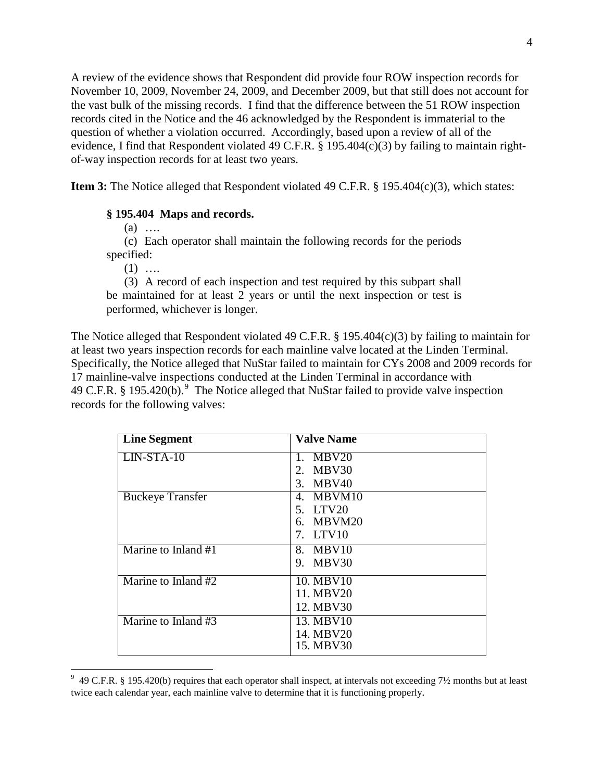A review of the evidence shows that Respondent did provide four ROW inspection records for November 10, 2009, November 24, 2009, and December 2009, but that still does not account for the vast bulk of the missing records. I find that the difference between the 51 ROW inspection records cited in the Notice and the 46 acknowledged by the Respondent is immaterial to the question of whether a violation occurred. Accordingly, based upon a review of all of the evidence, I find that Respondent violated 49 C.F.R. § 195.404(c)(3) by failing to maintain rightof-way inspection records for at least two years.

**Item 3:** The Notice alleged that Respondent violated 49 C.F.R. § 195.404(c)(3), which states:

#### **§ 195.404 Maps and records.**

(a) ….

(c) Each operator shall maintain the following records for the periods specified:

 $(1)$  …

(3) A record of each inspection and test required by this subpart shall be maintained for at least 2 years or until the next inspection or test is performed, whichever is longer.

The Notice alleged that Respondent violated 49 C.F.R. § 195.404(c)(3) by failing to maintain for at least two years inspection records for each mainline valve located at the Linden Terminal. Specifically, the Notice alleged that NuStar failed to maintain for CYs 2008 and 2009 records for 17 mainline-valve inspections conducted at the Linden Terminal in accordance with 49 C.F.R. § 195.420(b).<sup>9</sup> The Notice alleged that NuStar failed to provide valve inspection records for the following valves:

| <b>Line Segment</b>     | <b>Valve Name</b> |
|-------------------------|-------------------|
| $LIN-STA-10$            | 1. $MBV20$        |
|                         | MBV30<br>2.       |
|                         | 3. MBV40          |
| <b>Buckeye Transfer</b> | 4. MBVM10         |
|                         | 5. LTV20          |
|                         | 6. MBVM20         |
|                         | 7. LTV10          |
| Marine to Inland #1     | 8. MBV10          |
|                         | 9. MBV30          |
| Marine to Inland #2     | 10. MBV10         |
|                         | 11. MBV20         |
|                         | 12. MBV30         |
| Marine to Inland #3     | 13. MBV10         |
|                         | 14. MBV20         |
|                         | 15. MBV30         |

 9 49 C.F.R. § 195.420(b) requires that each operator shall inspect, at intervals not exceeding 7½ months but at least twice each calendar year, each mainline valve to determine that it is functioning properly.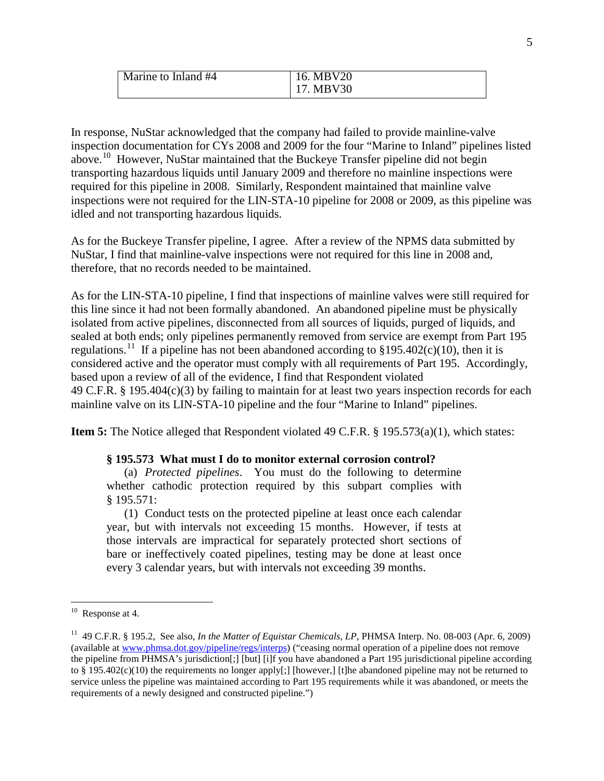| Marine to Inland #4 | 16. MBV20 |
|---------------------|-----------|
|                     | MBV30     |

In response, NuStar acknowledged that the company had failed to provide mainline-valve inspection documentation for CYs 2008 and 2009 for the four "Marine to Inland" pipelines listed above.10 However, NuStar maintained that the Buckeye Transfer pipeline did not begin transporting hazardous liquids until January 2009 and therefore no mainline inspections were required for this pipeline in 2008. Similarly, Respondent maintained that mainline valve inspections were not required for the LIN-STA-10 pipeline for 2008 or 2009, as this pipeline was idled and not transporting hazardous liquids.

As for the Buckeye Transfer pipeline, I agree. After a review of the NPMS data submitted by NuStar, I find that mainline-valve inspections were not required for this line in 2008 and, therefore, that no records needed to be maintained.

As for the LIN-STA-10 pipeline, I find that inspections of mainline valves were still required for this line since it had not been formally abandoned. An abandoned pipeline must be physically isolated from active pipelines, disconnected from all sources of liquids, purged of liquids, and sealed at both ends; only pipelines permanently removed from service are exempt from Part 195 regulations.<sup>11</sup> If a pipeline has not been abandoned according to  $\S 195.402(c)(10)$ , then it is considered active and the operator must comply with all requirements of Part 195. Accordingly, based upon a review of all of the evidence, I find that Respondent violated 49 C.F.R. § 195.404(c)(3) by failing to maintain for at least two years inspection records for each mainline valve on its LIN-STA-10 pipeline and the four "Marine to Inland" pipelines.

**Item 5:** The Notice alleged that Respondent violated 49 C.F.R. § 195.573(a)(1), which states:

### **§ 195.573 What must I do to monitor external corrosion control?**

(a) *Protected pipelines*. You must do the following to determine whether cathodic protection required by this subpart complies with § 195.571:

(1) Conduct tests on the protected pipeline at least once each calendar year, but with intervals not exceeding 15 months. However, if tests at those intervals are impractical for separately protected short sections of bare or ineffectively coated pipelines, testing may be done at least once every 3 calendar years, but with intervals not exceeding 39 months.

 $10$  Response at 4.

<sup>11 49</sup> C.F.R. § 195.2, See also, *In the Matter of Equistar Chemicals, LP*, PHMSA Interp. No. 08-003 (Apr. 6, 2009) (available at www.phmsa.dot.gov/pipeline/regs/interps) ("ceasing normal operation of a pipeline does not remove the pipeline from PHMSA's jurisdiction[;] [but] [i]f you have abandoned a Part 195 jurisdictional pipeline according to § 195.402(c)(10) the requirements no longer apply[;] [however,] [t]he abandoned pipeline may not be returned to service unless the pipeline was maintained according to Part 195 requirements while it was abandoned, or meets the requirements of a newly designed and constructed pipeline.")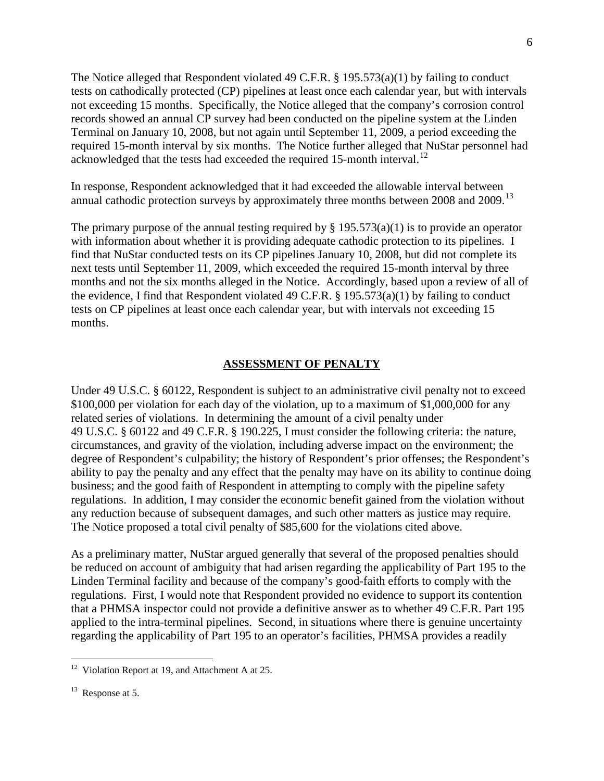The Notice alleged that Respondent violated 49 C.F.R. § 195.573(a)(1) by failing to conduct tests on cathodically protected (CP) pipelines at least once each calendar year, but with intervals not exceeding 15 months. Specifically, the Notice alleged that the company's corrosion control records showed an annual CP survey had been conducted on the pipeline system at the Linden Terminal on January 10, 2008, but not again until September 11, 2009, a period exceeding the required 15-month interval by six months. The Notice further alleged that NuStar personnel had acknowledged that the tests had exceeded the required 15-month interval.<sup>12</sup>

In response, Respondent acknowledged that it had exceeded the allowable interval between annual cathodic protection surveys by approximately three months between 2008 and 2009.<sup>13</sup>

The primary purpose of the annual testing required by  $\S 195.573(a)(1)$  is to provide an operator with information about whether it is providing adequate cathodic protection to its pipelines. I find that NuStar conducted tests on its CP pipelines January 10, 2008, but did not complete its next tests until September 11, 2009, which exceeded the required 15-month interval by three months and not the six months alleged in the Notice. Accordingly, based upon a review of all of the evidence, I find that Respondent violated 49 C.F.R. § 195.573(a)(1) by failing to conduct tests on CP pipelines at least once each calendar year, but with intervals not exceeding 15 months.

#### **ASSESSMENT OF PENALTY**

Under 49 U.S.C. § 60122, Respondent is subject to an administrative civil penalty not to exceed \$100,000 per violation for each day of the violation, up to a maximum of \$1,000,000 for any related series of violations. In determining the amount of a civil penalty under 49 U.S.C. § 60122 and 49 C.F.R. § 190.225, I must consider the following criteria: the nature, circumstances, and gravity of the violation, including adverse impact on the environment; the degree of Respondent's culpability; the history of Respondent's prior offenses; the Respondent's ability to pay the penalty and any effect that the penalty may have on its ability to continue doing business; and the good faith of Respondent in attempting to comply with the pipeline safety regulations. In addition, I may consider the economic benefit gained from the violation without any reduction because of subsequent damages, and such other matters as justice may require. The Notice proposed a total civil penalty of \$85,600 for the violations cited above.

As a preliminary matter, NuStar argued generally that several of the proposed penalties should be reduced on account of ambiguity that had arisen regarding the applicability of Part 195 to the Linden Terminal facility and because of the company's good-faith efforts to comply with the regulations. First, I would note that Respondent provided no evidence to support its contention that a PHMSA inspector could not provide a definitive answer as to whether 49 C.F.R. Part 195 applied to the intra-terminal pipelines. Second, in situations where there is genuine uncertainty regarding the applicability of Part 195 to an operator's facilities, PHMSA provides a readily

 $12$  Violation Report at 19, and Attachment A at 25.

 $13$  Response at 5.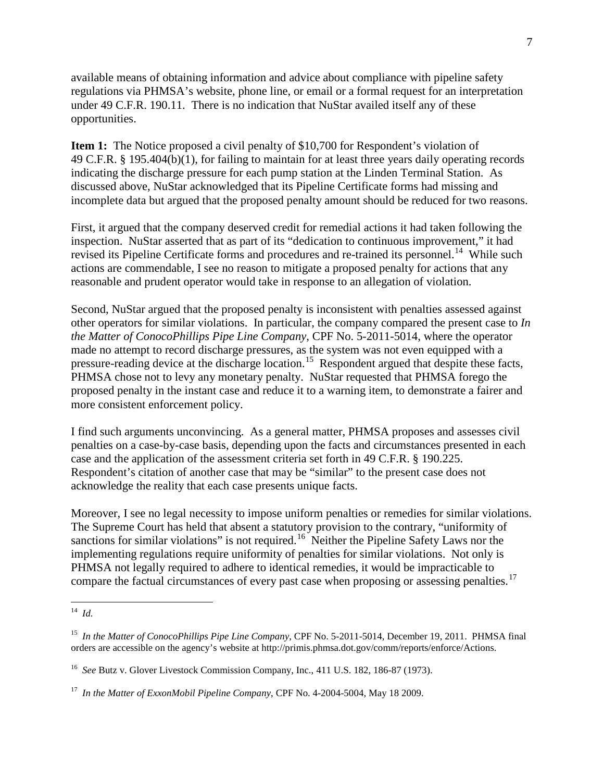available means of obtaining information and advice about compliance with pipeline safety regulations via PHMSA's website, phone line, or email or a formal request for an interpretation under 49 C.F.R. 190.11. There is no indication that NuStar availed itself any of these opportunities.

**Item 1:** The Notice proposed a civil penalty of \$10,700 for Respondent's violation of 49 C.F.R. § 195.404(b)(1), for failing to maintain for at least three years daily operating records indicating the discharge pressure for each pump station at the Linden Terminal Station. As discussed above, NuStar acknowledged that its Pipeline Certificate forms had missing and incomplete data but argued that the proposed penalty amount should be reduced for two reasons.

First, it argued that the company deserved credit for remedial actions it had taken following the inspection. NuStar asserted that as part of its "dedication to continuous improvement," it had revised its Pipeline Certificate forms and procedures and re-trained its personnel.<sup>14</sup> While such actions are commendable, I see no reason to mitigate a proposed penalty for actions that any reasonable and prudent operator would take in response to an allegation of violation.

Second, NuStar argued that the proposed penalty is inconsistent with penalties assessed against other operators for similar violations. In particular, the company compared the present case to *In the Matter of ConocoPhillips Pipe Line Company*, CPF No. 5-2011-5014, where the operator made no attempt to record discharge pressures, as the system was not even equipped with a pressure-reading device at the discharge location.<sup>15</sup> Respondent argued that despite these facts, PHMSA chose not to levy any monetary penalty. NuStar requested that PHMSA forego the proposed penalty in the instant case and reduce it to a warning item, to demonstrate a fairer and more consistent enforcement policy.

I find such arguments unconvincing. As a general matter, PHMSA proposes and assesses civil penalties on a case-by-case basis, depending upon the facts and circumstances presented in each case and the application of the assessment criteria set forth in 49 C.F.R. § 190.225. Respondent's citation of another case that may be "similar" to the present case does not acknowledge the reality that each case presents unique facts.

Moreover, I see no legal necessity to impose uniform penalties or remedies for similar violations. The Supreme Court has held that absent a statutory provision to the contrary, "uniformity of sanctions for similar violations" is not required.<sup>16</sup> Neither the Pipeline Safety Laws nor the implementing regulations require uniformity of penalties for similar violations. Not only is PHMSA not legally required to adhere to identical remedies, it would be impracticable to compare the factual circumstances of every past case when proposing or assessing penalties.<sup>17</sup>

 $\overline{a}$ 14 *Id.*

<sup>15</sup> *In the Matter of ConocoPhillips Pipe Line Company*, CPF No. 5-2011-5014, December 19, 2011. PHMSA final orders are accessible on the agency's website at http://primis.phmsa.dot.gov/comm/reports/enforce/Actions.

<sup>16</sup> *See* Butz v. Glover Livestock Commission Company, Inc., 411 U.S. 182, 186-87 (1973).

<sup>17</sup> *In the Matter of ExxonMobil Pipeline Company*, CPF No. 4-2004-5004, May 18 2009.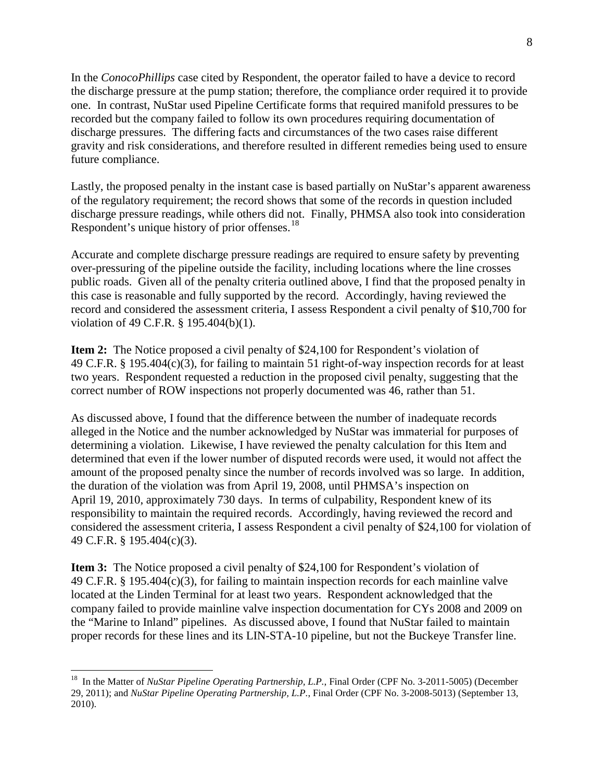In the *ConocoPhillips* case cited by Respondent, the operator failed to have a device to record the discharge pressure at the pump station; therefore, the compliance order required it to provide one. In contrast, NuStar used Pipeline Certificate forms that required manifold pressures to be recorded but the company failed to follow its own procedures requiring documentation of discharge pressures. The differing facts and circumstances of the two cases raise different gravity and risk considerations, and therefore resulted in different remedies being used to ensure future compliance.

Lastly, the proposed penalty in the instant case is based partially on NuStar's apparent awareness of the regulatory requirement; the record shows that some of the records in question included discharge pressure readings, while others did not. Finally, PHMSA also took into consideration Respondent's unique history of prior offenses.<sup>18</sup>

Accurate and complete discharge pressure readings are required to ensure safety by preventing over-pressuring of the pipeline outside the facility, including locations where the line crosses public roads. Given all of the penalty criteria outlined above, I find that the proposed penalty in this case is reasonable and fully supported by the record. Accordingly, having reviewed the record and considered the assessment criteria, I assess Respondent a civil penalty of \$10,700 for violation of 49 C.F.R. § 195.404(b)(1).

**Item 2:** The Notice proposed a civil penalty of \$24,100 for Respondent's violation of 49 C.F.R. § 195.404(c)(3), for failing to maintain 51 right-of-way inspection records for at least two years. Respondent requested a reduction in the proposed civil penalty, suggesting that the correct number of ROW inspections not properly documented was 46, rather than 51.

As discussed above, I found that the difference between the number of inadequate records alleged in the Notice and the number acknowledged by NuStar was immaterial for purposes of determining a violation. Likewise, I have reviewed the penalty calculation for this Item and determined that even if the lower number of disputed records were used, it would not affect the amount of the proposed penalty since the number of records involved was so large. In addition, the duration of the violation was from April 19, 2008, until PHMSA's inspection on April 19, 2010, approximately 730 days. In terms of culpability, Respondent knew of its responsibility to maintain the required records. Accordingly, having reviewed the record and considered the assessment criteria, I assess Respondent a civil penalty of \$24,100 for violation of 49 C.F.R. § 195.404(c)(3).

**Item 3:** The Notice proposed a civil penalty of \$24,100 for Respondent's violation of 49 C.F.R. § 195.404(c)(3), for failing to maintain inspection records for each mainline valve located at the Linden Terminal for at least two years. Respondent acknowledged that the company failed to provide mainline valve inspection documentation for CYs 2008 and 2009 on the "Marine to Inland" pipelines. As discussed above, I found that NuStar failed to maintain proper records for these lines and its LIN-STA-10 pipeline, but not the Buckeye Transfer line.

<sup>&</sup>lt;sup>18</sup> In the Matter of *NuStar Pipeline Operating Partnership, L.P.*, Final Order (CPF No. 3-2011-5005) (December 29, 2011); and *NuStar Pipeline Operating Partnership, L.P.*, Final Order (CPF No. 3-2008-5013) (September 13, 2010).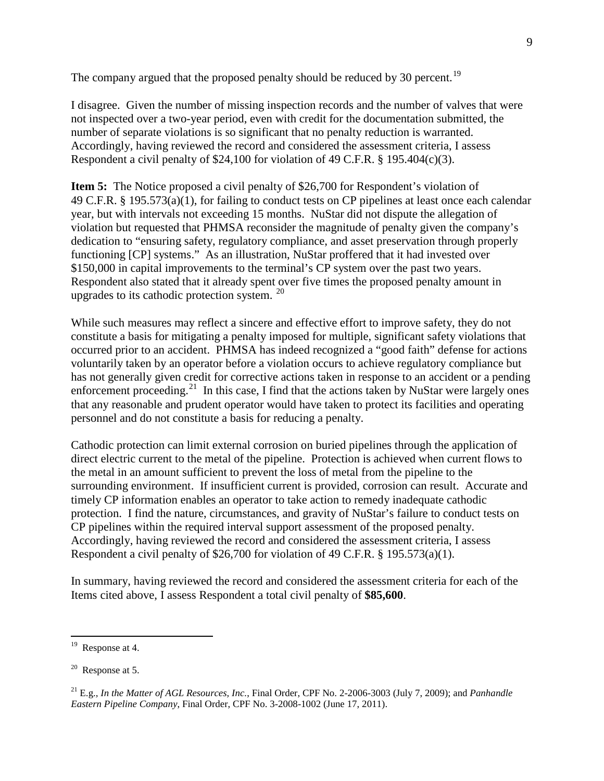The company argued that the proposed penalty should be reduced by 30 percent.<sup>19</sup>

I disagree. Given the number of missing inspection records and the number of valves that were not inspected over a two-year period, even with credit for the documentation submitted, the number of separate violations is so significant that no penalty reduction is warranted. Accordingly, having reviewed the record and considered the assessment criteria, I assess Respondent a civil penalty of \$24,100 for violation of 49 C.F.R. § 195.404(c)(3).

**Item 5:** The Notice proposed a civil penalty of \$26,700 for Respondent's violation of 49 C.F.R. § 195.573(a)(1), for failing to conduct tests on CP pipelines at least once each calendar year, but with intervals not exceeding 15 months. NuStar did not dispute the allegation of violation but requested that PHMSA reconsider the magnitude of penalty given the company's dedication to "ensuring safety, regulatory compliance, and asset preservation through properly functioning [CP] systems." As an illustration, NuStar proffered that it had invested over \$150,000 in capital improvements to the terminal's CP system over the past two years. Respondent also stated that it already spent over five times the proposed penalty amount in upgrades to its cathodic protection system. 20

While such measures may reflect a sincere and effective effort to improve safety, they do not constitute a basis for mitigating a penalty imposed for multiple, significant safety violations that occurred prior to an accident. PHMSA has indeed recognized a "good faith" defense for actions voluntarily taken by an operator before a violation occurs to achieve regulatory compliance but has not generally given credit for corrective actions taken in response to an accident or a pending enforcement proceeding.<sup>21</sup> In this case, I find that the actions taken by NuStar were largely ones that any reasonable and prudent operator would have taken to protect its facilities and operating personnel and do not constitute a basis for reducing a penalty.

Cathodic protection can limit external corrosion on buried pipelines through the application of direct electric current to the metal of the pipeline. Protection is achieved when current flows to the metal in an amount sufficient to prevent the loss of metal from the pipeline to the surrounding environment. If insufficient current is provided, corrosion can result. Accurate and timely CP information enables an operator to take action to remedy inadequate cathodic protection. I find the nature, circumstances, and gravity of NuStar's failure to conduct tests on CP pipelines within the required interval support assessment of the proposed penalty. Accordingly, having reviewed the record and considered the assessment criteria, I assess Respondent a civil penalty of \$26,700 for violation of 49 C.F.R. § 195.573(a)(1).

In summary, having reviewed the record and considered the assessment criteria for each of the Items cited above, I assess Respondent a total civil penalty of **\$85,600**.

 $19$  Response at 4.

 $20$  Response at 5.

<sup>21</sup> E.g.*, In the Matter of AGL Resources, Inc.*, Final Order, CPF No. 2-2006-3003 (July 7, 2009); and *Panhandle Eastern Pipeline Company*, Final Order, CPF No. 3-2008-1002 (June 17, 2011).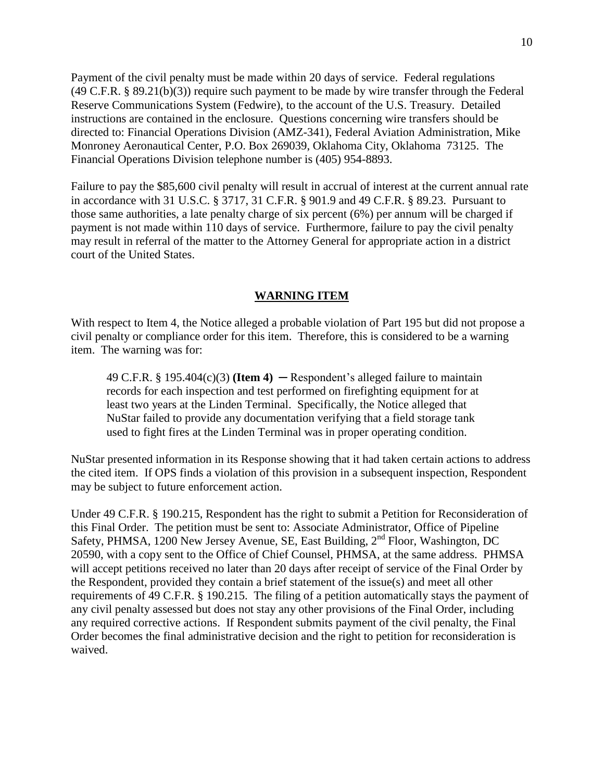Payment of the civil penalty must be made within 20 days of service. Federal regulations (49 C.F.R. § 89.21(b)(3)) require such payment to be made by wire transfer through the Federal Reserve Communications System (Fedwire), to the account of the U.S. Treasury. Detailed instructions are contained in the enclosure. Questions concerning wire transfers should be directed to: Financial Operations Division (AMZ-341), Federal Aviation Administration, Mike Monroney Aeronautical Center, P.O. Box 269039, Oklahoma City, Oklahoma 73125. The Financial Operations Division telephone number is (405) 954-8893.

Failure to pay the \$85,600 civil penalty will result in accrual of interest at the current annual rate in accordance with 31 U.S.C. § 3717, 31 C.F.R. § 901.9 and 49 C.F.R. § 89.23. Pursuant to those same authorities, a late penalty charge of six percent (6%) per annum will be charged if payment is not made within 110 days of service. Furthermore, failure to pay the civil penalty may result in referral of the matter to the Attorney General for appropriate action in a district court of the United States.

## **WARNING ITEM**

With respect to Item 4, the Notice alleged a probable violation of Part 195 but did not propose a civil penalty or compliance order for this item. Therefore, this is considered to be a warning item. The warning was for:

49 C.F.R. § 195.404 $(c)(3)$  (**Item 4**) — Respondent's alleged failure to maintain records for each inspection and test performed on firefighting equipment for at least two years at the Linden Terminal. Specifically, the Notice alleged that NuStar failed to provide any documentation verifying that a field storage tank used to fight fires at the Linden Terminal was in proper operating condition.

NuStar presented information in its Response showing that it had taken certain actions to address the cited item. If OPS finds a violation of this provision in a subsequent inspection, Respondent may be subject to future enforcement action.

Under 49 C.F.R. § 190.215, Respondent has the right to submit a Petition for Reconsideration of this Final Order. The petition must be sent to: Associate Administrator, Office of Pipeline Safety, PHMSA, 1200 New Jersey Avenue, SE, East Building, 2<sup>nd</sup> Floor, Washington, DC 20590, with a copy sent to the Office of Chief Counsel, PHMSA, at the same address. PHMSA will accept petitions received no later than 20 days after receipt of service of the Final Order by the Respondent, provided they contain a brief statement of the issue(s) and meet all other requirements of 49 C.F.R. § 190.215. The filing of a petition automatically stays the payment of any civil penalty assessed but does not stay any other provisions of the Final Order, including any required corrective actions. If Respondent submits payment of the civil penalty, the Final Order becomes the final administrative decision and the right to petition for reconsideration is waived.